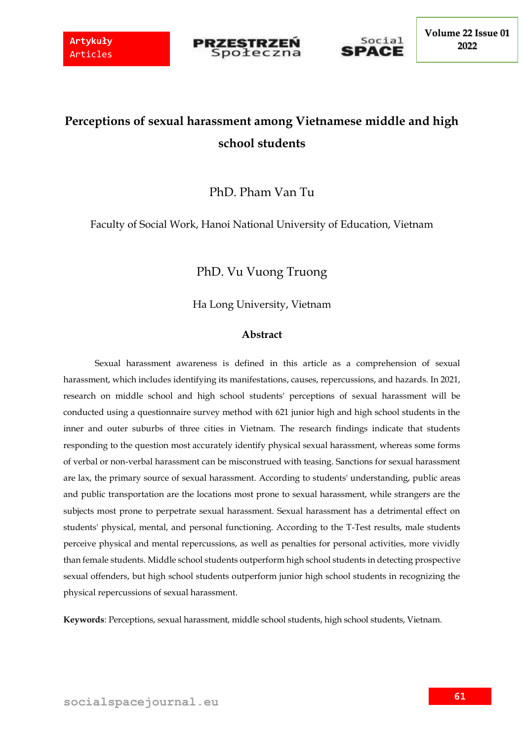



## **Perceptions of sexual harassment among Vietnamese middle and high school students**

## PhD. Pham Van Tu

Faculty of Social Work, Hanoi National University of Education, Vietnam

## PhD. Vu Vuong Truong

Ha Long University, Vietnam

#### **Abstract**

Sexual harassment awareness is defined in this article as a comprehension of sexual harassment, which includes identifying its manifestations, causes, repercussions, and hazards. In 2021, research on middle school and high school students' perceptions of sexual harassment will be conducted using a questionnaire survey method with 621 junior high and high school students in the inner and outer suburbs of three cities in Vietnam. The research findings indicate that students responding to the question most accurately identify physical sexual harassment, whereas some forms of verbal or non-verbal harassment can be misconstrued with teasing. Sanctions for sexual harassment are lax, the primary source of sexual harassment. According to students' understanding, public areas and public transportation are the locations most prone to sexual harassment, while strangers are the subjects most prone to perpetrate sexual harassment. Sexual harassment has a detrimental effect on students' physical, mental, and personal functioning. According to the T-Test results, male students perceive physical and mental repercussions, as well as penalties for personal activities, more vividly than female students. Middle school students outperform high school students in detecting prospective sexual offenders, but high school students outperform junior high school students in recognizing the physical repercussions of sexual harassment.

**Keywords**: Perceptions, sexual harassment, middle school students, high school students, Vietnam.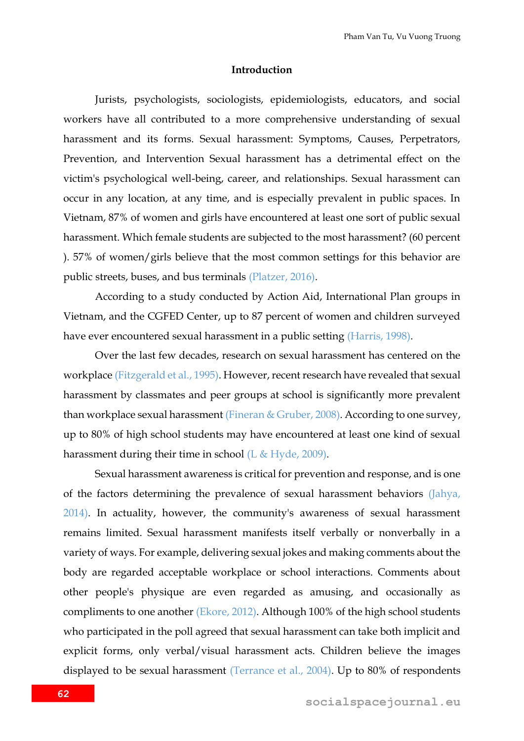#### **Introduction**

Jurists, psychologists, sociologists, epidemiologists, educators, and social workers have all contributed to a more comprehensive understanding of sexual harassment and its forms. Sexual harassment: Symptoms, Causes, Perpetrators, Prevention, and Intervention Sexual harassment has a detrimental effect on the victim's psychological well-being, career, and relationships. Sexual harassment can occur in any location, at any time, and is especially prevalent in public spaces. In Vietnam, 87% of women and girls have encountered at least one sort of public sexual harassment. Which female students are subjected to the most harassment? (60 percent ). 57% of women/girls believe that the most common settings for this behavior are public streets, buses, and bus terminals (Platzer, 2016).

According to a study conducted by Action Aid, International Plan groups in Vietnam, and the CGFED Center, up to 87 percent of women and children surveyed have ever encountered sexual harassment in a public setting (Harris, 1998).

Over the last few decades, research on sexual harassment has centered on the workplace (Fitzgerald et al., 1995). However, recent research have revealed that sexual harassment by classmates and peer groups at school is significantly more prevalent than workplace sexual harassment (Fineran & Gruber, 2008). According to one survey, up to 80% of high school students may have encountered at least one kind of sexual harassment during their time in school (L & Hyde, 2009).

Sexual harassment awareness is critical for prevention and response, and is one of the factors determining the prevalence of sexual harassment behaviors (Jahya, 2014). In actuality, however, the community's awareness of sexual harassment remains limited. Sexual harassment manifests itself verbally or nonverbally in a variety of ways. For example, delivering sexual jokes and making comments about the body are regarded acceptable workplace or school interactions. Comments about other people's physique are even regarded as amusing, and occasionally as compliments to one another (Ekore, 2012). Although 100% of the high school students who participated in the poll agreed that sexual harassment can take both implicit and explicit forms, only verbal/visual harassment acts. Children believe the images displayed to be sexual harassment (Terrance et al., 2004). Up to 80% of respondents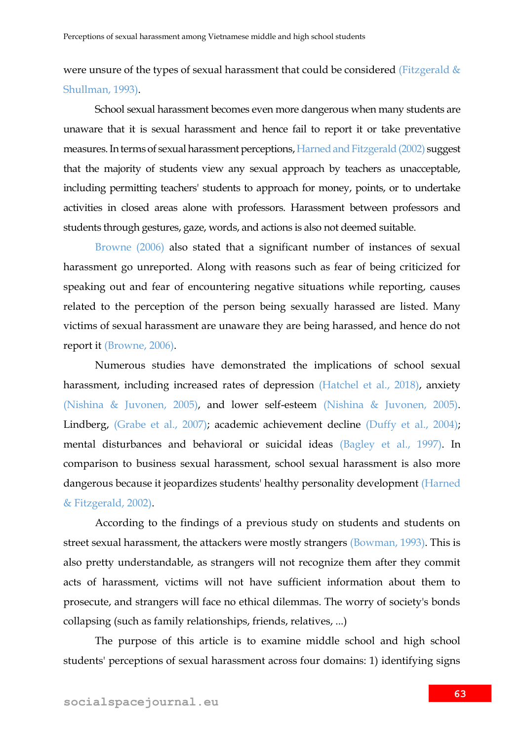were unsure of the types of sexual harassment that could be considered (Fitzgerald  $\&$ Shullman, 1993).

School sexual harassment becomes even more dangerous when many students are unaware that it is sexual harassment and hence fail to report it or take preventative measures. In terms of sexual harassment perceptions, Harned and Fitzgerald (2002) suggest that the majority of students view any sexual approach by teachers as unacceptable, including permitting teachers' students to approach for money, points, or to undertake activities in closed areas alone with professors. Harassment between professors and students through gestures, gaze, words, and actions is also not deemed suitable.

Browne (2006) also stated that a significant number of instances of sexual harassment go unreported. Along with reasons such as fear of being criticized for speaking out and fear of encountering negative situations while reporting, causes related to the perception of the person being sexually harassed are listed. Many victims of sexual harassment are unaware they are being harassed, and hence do not report it (Browne, 2006).

Numerous studies have demonstrated the implications of school sexual harassment, including increased rates of depression (Hatchel et al., 2018), anxiety (Nishina & Juvonen, 2005), and lower self-esteem (Nishina & Juvonen, 2005). Lindberg, (Grabe et al., 2007); academic achievement decline (Duffy et al., 2004); mental disturbances and behavioral or suicidal ideas (Bagley et al., 1997). In comparison to business sexual harassment, school sexual harassment is also more dangerous because it jeopardizes students' healthy personality development (Harned & Fitzgerald, 2002).

According to the findings of a previous study on students and students on street sexual harassment, the attackers were mostly strangers (Bowman, 1993). This is also pretty understandable, as strangers will not recognize them after they commit acts of harassment, victims will not have sufficient information about them to prosecute, and strangers will face no ethical dilemmas. The worry of society's bonds collapsing (such as family relationships, friends, relatives, ...)

The purpose of this article is to examine middle school and high school students' perceptions of sexual harassment across four domains: 1) identifying signs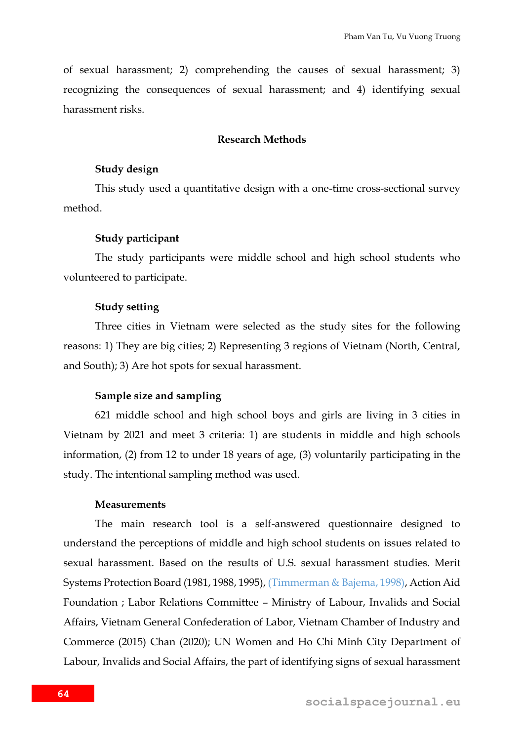of sexual harassment; 2) comprehending the causes of sexual harassment; 3) recognizing the consequences of sexual harassment; and 4) identifying sexual harassment risks.

#### **Research Methods**

#### **Study design**

This study used a quantitative design with a one-time cross-sectional survey method.

#### **Study participant**

The study participants were middle school and high school students who volunteered to participate.

#### **Study setting**

Three cities in Vietnam were selected as the study sites for the following reasons: 1) They are big cities; 2) Representing 3 regions of Vietnam (North, Central, and South); 3) Are hot spots for sexual harassment.

#### **Sample size and sampling**

621 middle school and high school boys and girls are living in 3 cities in Vietnam by 2021 and meet 3 criteria: 1) are students in middle and high schools information, (2) from 12 to under 18 years of age, (3) voluntarily participating in the study. The intentional sampling method was used.

#### **Measurements**

The main research tool is a self-answered questionnaire designed to understand the perceptions of middle and high school students on issues related to sexual harassment. Based on the results of U.S. sexual harassment studies. Merit Systems Protection Board (1981, 1988, 1995), (Timmerman & Bajema, 1998), Action Aid Foundation ; Labor Relations Committee – Ministry of Labour, Invalids and Social Affairs, Vietnam General Confederation of Labor, Vietnam Chamber of Industry and Commerce (2015) Chan (2020); UN Women and Ho Chi Minh City Department of Labour, Invalids and Social Affairs, the part of identifying signs of sexual harassment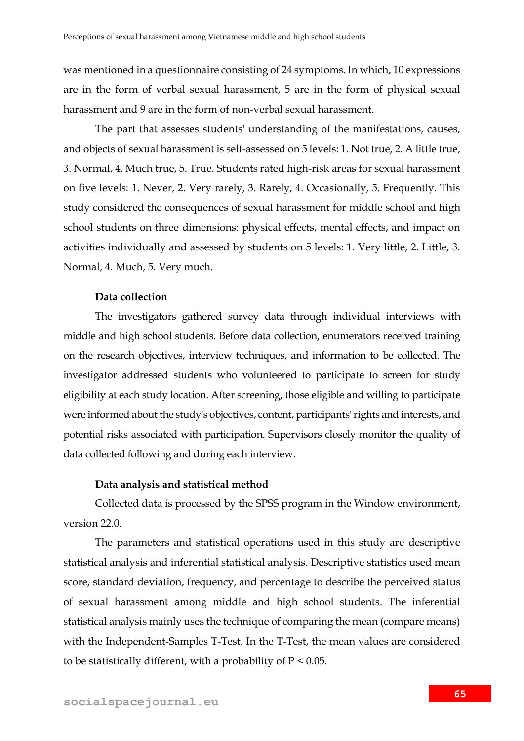was mentioned in a questionnaire consisting of 24 symptoms. In which, 10 expressions are in the form of verbal sexual harassment, 5 are in the form of physical sexual harassment and 9 are in the form of non-verbal sexual harassment.

The part that assesses students' understanding of the manifestations, causes, and objects of sexual harassment is self-assessed on 5 levels: 1. Not true, 2. A little true, 3. Normal, 4. Much true, 5. True. Students rated high-risk areas for sexual harassment on five levels: 1. Never, 2. Very rarely, 3. Rarely, 4. Occasionally, 5. Frequently. This study considered the consequences of sexual harassment for middle school and high school students on three dimensions: physical effects, mental effects, and impact on activities individually and assessed by students on 5 levels: 1. Very little, 2. Little, 3. Normal, 4. Much, 5. Very much.

#### **Data collection**

The investigators gathered survey data through individual interviews with middle and high school students. Before data collection, enumerators received training on the research objectives, interview techniques, and information to be collected. The investigator addressed students who volunteered to participate to screen for study eligibility at each study location. After screening, those eligible and willing to participate were informed about the study's objectives, content, participants' rights and interests, and potential risks associated with participation. Supervisors closely monitor the quality of data collected following and during each interview.

#### **Data analysis and statistical method**

Collected data is processed by the SPSS program in the Window environment, version 22.0.

The parameters and statistical operations used in this study are descriptive statistical analysis and inferential statistical analysis. Descriptive statistics used mean score, standard deviation, frequency, and percentage to describe the perceived status of sexual harassment among middle and high school students. The inferential statistical analysis mainly uses the technique of comparing the mean (compare means) with the Independent-Samples T-Test. In the T-Test, the mean values are considered to be statistically different, with a probability of  $P \le 0.05$ .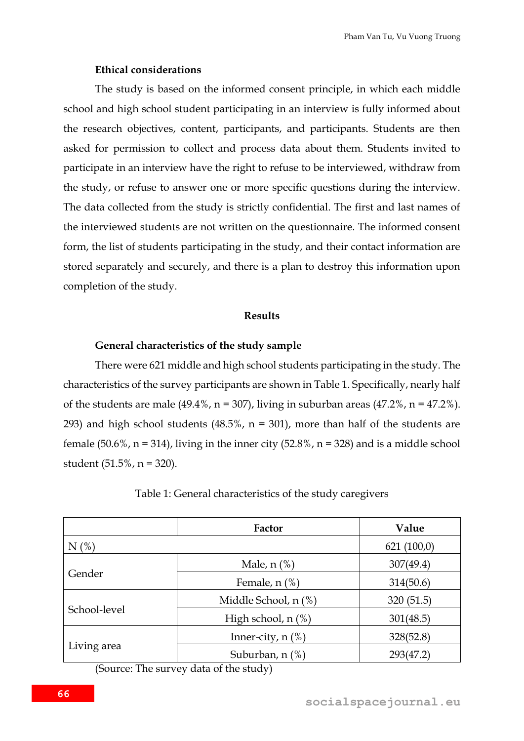#### **Ethical considerations**

The study is based on the informed consent principle, in which each middle school and high school student participating in an interview is fully informed about the research objectives, content, participants, and participants. Students are then asked for permission to collect and process data about them. Students invited to participate in an interview have the right to refuse to be interviewed, withdraw from the study, or refuse to answer one or more specific questions during the interview. The data collected from the study is strictly confidential. The first and last names of the interviewed students are not written on the questionnaire. The informed consent form, the list of students participating in the study, and their contact information are stored separately and securely, and there is a plan to destroy this information upon completion of the study.

#### **Results**

#### **General characteristics of the study sample**

There were 621 middle and high school students participating in the study. The characteristics of the survey participants are shown in Table 1. Specifically, nearly half of the students are male  $(49.4\%$ , n = 307), living in suburban areas  $(47.2\%$ , n =  $47.2\%$ ). 293) and high school students  $(48.5\% , n = 301)$ , more than half of the students are female  $(50.6\%$ , n = 314), living in the inner city  $(52.8\%$ , n = 328) and is a middle school student (51.5%, n = 320).

|              | Factor                  | Value      |
|--------------|-------------------------|------------|
| N(%)         |                         | 621(100,0) |
|              | Male, $n$ $%$           | 307(49.4)  |
| Gender       | Female, $n$ $(\%)$      | 314(50.6)  |
|              | Middle School, n (%)    | 320(51.5)  |
| School-level | High school, $n$ $(\%)$ | 301(48.5)  |
|              | Inner-city, $n$ $(\%)$  | 328(52.8)  |
| Living area  | Suburban, n (%)         | 293(47.2)  |

Table 1: General characteristics of the study caregivers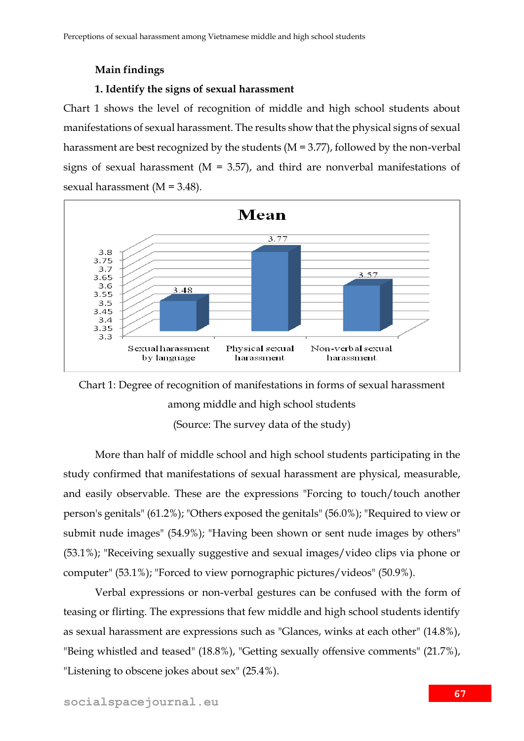#### **Main findings**

#### **1. Identify the signs of sexual harassment**

Chart 1 shows the level of recognition of middle and high school students about manifestations of sexual harassment. The results show that the physical signs of sexual harassment are best recognized by the students  $(M = 3.77)$ , followed by the non-verbal signs of sexual harassment ( $M = 3.57$ ), and third are nonverbal manifestations of sexual harassment (M = 3.48).





More than half of middle school and high school students participating in the study confirmed that manifestations of sexual harassment are physical, measurable, and easily observable. These are the expressions "Forcing to touch/touch another person's genitals" (61.2%); "Others exposed the genitals" (56.0%); "Required to view or submit nude images" (54.9%); "Having been shown or sent nude images by others" (53.1%); "Receiving sexually suggestive and sexual images/video clips via phone or computer" (53.1%); "Forced to view pornographic pictures/videos" (50.9%).

Verbal expressions or non-verbal gestures can be confused with the form of teasing or flirting. The expressions that few middle and high school students identify as sexual harassment are expressions such as "Glances, winks at each other" (14.8%), "Being whistled and teased" (18.8%), "Getting sexually offensive comments" (21.7%), "Listening to obscene jokes about sex" (25.4%).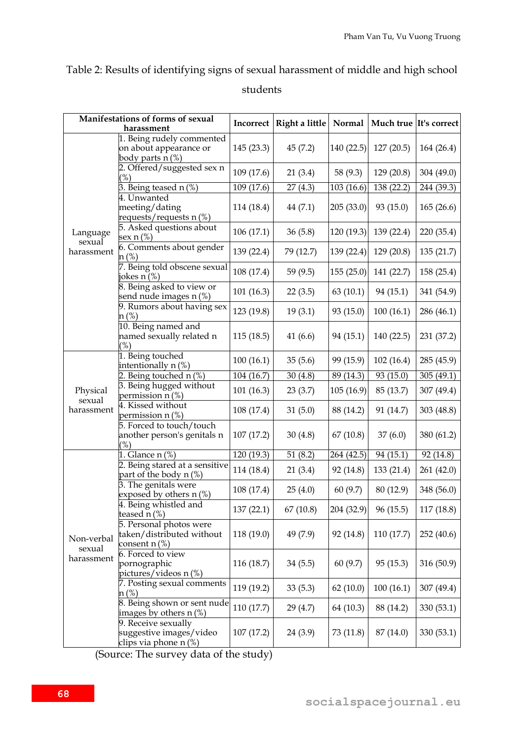# Table 2: Results of identifying signs of sexual harassment of middle and high school

students

|                      | Manifestations of forms of sexual<br>harassment                               |            | Incorrect   Right a little | Normal     | Much true It's correct |            |
|----------------------|-------------------------------------------------------------------------------|------------|----------------------------|------------|------------------------|------------|
|                      | 1. Being rudely commented<br>on about appearance or<br>body parts n(%)        | 145 (23.3) | 45(7.2)                    | 140 (22.5) | 127(20.5)              | 164 (26.4) |
|                      | 2. Offered/suggested sex n<br>$\binom{9}{0}$                                  | 109 (17.6) | 21(3.4)                    | 58 (9.3)   | 129 (20.8)             | 304 (49.0) |
|                      | 3. Being teased n (%)                                                         | 109 (17.6) | 27(4.3)                    | 103(16.6)  | 138 (22.2)             | 244 (39.3) |
| Language<br>sexual   | 4. Unwanted<br>meeting/dating<br>requests/requests n (%)                      | 114 (18.4) | 44 (7.1)                   | 205(33.0)  | 93 (15.0)              | 165(26.6)  |
|                      | 5. Asked questions about<br>sex n (%)                                         | 106(17.1)  | 36(5.8)                    | 120(19.3)  | 139 (22.4)             | 220 (35.4) |
| harassment           | 6. Comments about gender<br>n (%)                                             | 139 (22.4) | 79 (12.7)                  | 139(22.4)  | 129 (20.8)             | 135(21.7)  |
|                      | 7. Being told obscene sexual<br>jokes n (%)                                   | 108 (17.4) | 59 (9.5)                   | 155(25.0)  | 141 (22.7)             | 158 (25.4) |
|                      | 8. Being asked to view or<br>send nude images n(%)                            | 101(16.3)  | 22(3.5)                    | 63(10.1)   | 94 (15.1)              | 341 (54.9) |
|                      | 9. Rumors about having sex<br>n (%)                                           | 123 (19.8) | 19(3.1)                    | 93 (15.0)  | 100(16.1)              | 286 (46.1) |
|                      | 10. Being named and<br>named sexually related n<br>$(\%)$                     | 115 (18.5) | 41(6.6)                    | 94 (15.1)  | 140 (22.5)             | 231 (37.2) |
| Physical             | 1. Being touched<br>intentionally $n$ $%$                                     | 100(16.1)  | 35(5.6)                    | 99 (15.9)  | 102 (16.4)             | 285 (45.9) |
|                      | 2. Being touched $\overline{n}$ (%)                                           | 104(16.7)  | 30(4.8)                    | 89(14.3)   | 93(15.0)               | 305(49.1)  |
|                      | 3. Being hugged without<br>permission n(%)                                    | 101(16.3)  | 23(3.7)                    | 105(16.9)  | 85 (13.7)              | 307 (49.4) |
| harassment           | 4. Kissed without<br>permission n(%)                                          | 108 (17.4) | 31(5.0)                    | 88 (14.2)  | 91 (14.7)              | 303 (48.8) |
| sexual               | 5. Forced to touch/touch<br>another person's genitals n<br>$\frac{9}{6}$      | 107 (17.2) | 30(4.8)                    | 67(10.8)   | 37(6.0)                | 380 (61.2) |
|                      | <u>1. Glance n</u> (%)                                                        | 120 (19.3) | 51 $(8.2)$                 | 264 (42.5) | 94 (15.1)              | 92 (14.8)  |
|                      | 2. Being stared at a sensitive<br>part of the body n(%)                       | 114 (18.4) | 21(3.4)                    | 92 (14.8)  | 133 (21.4)             | 261 (42.0) |
|                      | 3. The genitals were<br>exposed by others n(%)                                | 108 (17.4) | 25(4.0)                    | 60(9.7)    | 80 (12.9)              | 348 (56.0) |
|                      | 4. Being whistled and<br>teased n(%)                                          | 137 (22.1) | 67(10.8)                   | 204 (32.9) | 96 (15.5)              | 117 (18.8) |
| Non-verbal           | 5. Personal photos were<br>taken/distributed without<br><u>conse</u> nt n (%) | 118 (19.0) | 49 (7.9)                   | 92 (14.8)  | 110 (17.7)             | 252 (40.6) |
| sexual<br>harassment | 6. Forced to view<br>pornographic<br>pictures/videos n(%)                     | 116 (18.7) | 34(5.5)                    | 60(9.7)    | 95(15.3)               | 316 (50.9) |
|                      | 7. Posting sexual comments<br>n (%)                                           | 119 (19.2) | 33(5.3)                    | 62(10.0)   | 100(16.1)              | 307 (49.4) |
|                      | 8. Being shown or sent nude<br>images by others $n$ (%)                       | 110 (17.7) | 29 (4.7)                   | 64 (10.3)  | 88 (14.2)              | 330 (53.1) |
|                      | 9. Receive sexually<br>suggestive images/video<br>clips via phone n (%)       | 107(17.2)  | 24 (3.9)                   | 73 (11.8)  | 87 (14.0)              | 330 (53.1) |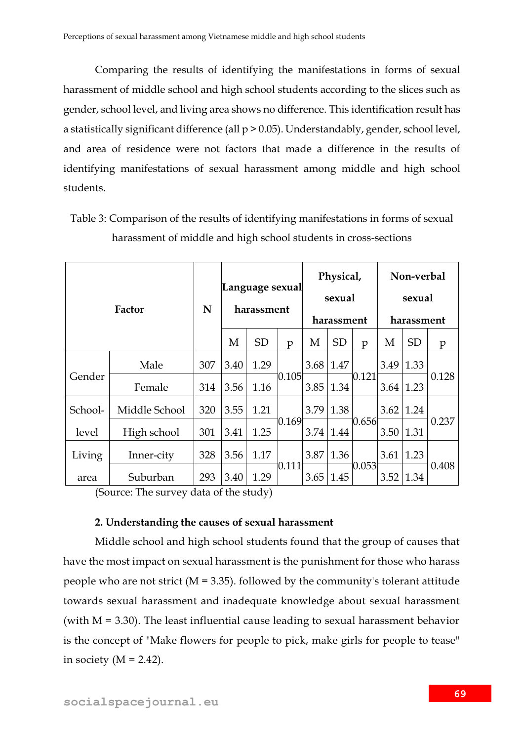Comparing the results of identifying the manifestations in forms of sexual harassment of middle school and high school students according to the slices such as gender, school level, and living area shows no difference. This identification result has a statistically significant difference (all p > 0.05). Understandably, gender, school level, and area of residence were not factors that made a difference in the results of identifying manifestations of sexual harassment among middle and high school students.

| Factor  |               | N   | Language sexual<br>harassment |           |       | Physical,<br>sexual |           |         | Non-verbal<br>sexual |           |       |
|---------|---------------|-----|-------------------------------|-----------|-------|---------------------|-----------|---------|----------------------|-----------|-------|
|         |               |     |                               |           |       | harassment          |           |         | harassment           |           |       |
|         |               |     | M                             | <b>SD</b> | p     | M                   | <b>SD</b> | p       | M                    | <b>SD</b> | p     |
|         | Male          | 307 | 3.40                          | 1.29      | 0.105 | 3.68                | 1.47      | 0.121   | 3.49                 | 1.33      | 0.128 |
| Gender  | Female        | 314 | 3.56                          | 1.16      |       | $3.85$   1.34       |           |         | 3.64                 | 1.23      |       |
| School- | Middle School | 320 | 3.55                          | 1.21      |       | 3.79                | 1.38      |         | 3.62                 | 1.24      | 0.237 |
| level   | High school   | 301 | 3.41                          | 1.25      | 0.169 | $3.74 \mid 1.44$    |           | 10.6561 | $3.50$   1.31        |           |       |
| Living  | Inner-city    | 328 | 3.56                          | 1.17      |       | 3.87                | 1.36      |         | 3.61                 | 1.23      |       |
| area    | Suburban      | 293 | 3.40                          | 1.29      | 0.111 | 3.65                | 1.45      | 0.053   | 3.52                 | 1.34      | 0.408 |

Table 3: Comparison of the results of identifying manifestations in forms of sexual harassment of middle and high school students in cross-sections

(Source: The survey data of the study)

#### **2. Understanding the causes of sexual harassment**

Middle school and high school students found that the group of causes that have the most impact on sexual harassment is the punishment for those who harass people who are not strict ( $M = 3.35$ ). followed by the community's tolerant attitude towards sexual harassment and inadequate knowledge about sexual harassment (with M = 3.30). The least influential cause leading to sexual harassment behavior is the concept of "Make flowers for people to pick, make girls for people to tease" in society ( $M = 2.42$ ).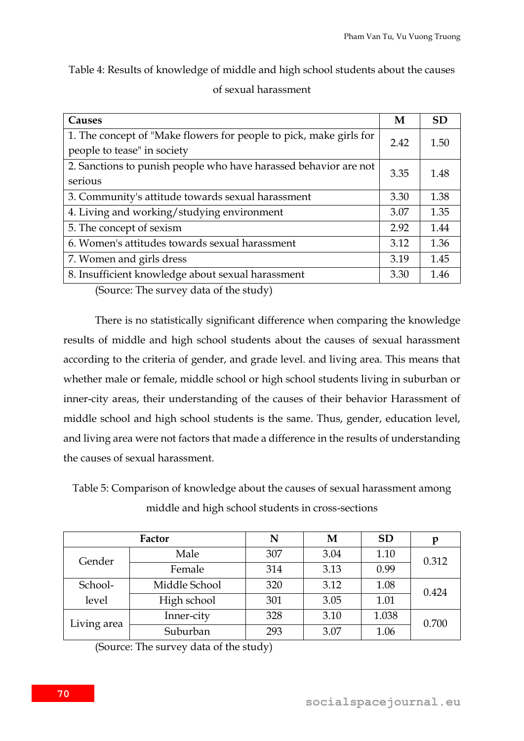Table 4: Results of knowledge of middle and high school students about the causes of sexual harassment

| Causes                                                             | M    | <b>SD</b> |
|--------------------------------------------------------------------|------|-----------|
| 1. The concept of "Make flowers for people to pick, make girls for | 2.42 | 1.50      |
| people to tease" in society                                        |      |           |
| 2. Sanctions to punish people who have harassed behavior are not   | 3.35 | 1.48      |
| serious                                                            |      |           |
| 3. Community's attitude towards sexual harassment                  | 3.30 | 1.38      |
| 4. Living and working/studying environment                         | 3.07 | 1.35      |
| 5. The concept of sexism                                           | 2.92 | 1.44      |
| 6. Women's attitudes towards sexual harassment                     | 3.12 | 1.36      |
| 7. Women and girls dress                                           | 3.19 | 1.45      |
| 8. Insufficient knowledge about sexual harassment                  | 3.30 | 1.46      |
|                                                                    |      |           |

(Source: The survey data of the study)

There is no statistically significant difference when comparing the knowledge results of middle and high school students about the causes of sexual harassment according to the criteria of gender, and grade level. and living area. This means that whether male or female, middle school or high school students living in suburban or inner-city areas, their understanding of the causes of their behavior Harassment of middle school and high school students is the same. Thus, gender, education level, and living area were not factors that made a difference in the results of understanding the causes of sexual harassment.

Table 5: Comparison of knowledge about the causes of sexual harassment among

|  | middle and high school students in cross-sections |
|--|---------------------------------------------------|
|  |                                                   |

|             | Factor        | N   | М    | <b>SD</b> | p     |  |
|-------------|---------------|-----|------|-----------|-------|--|
| Gender      | Male          | 307 | 3.04 | 1.10      | 0.312 |  |
|             | Female        | 314 | 3.13 | 0.99      |       |  |
| School-     | Middle School | 320 | 3.12 | 1.08      | 0.424 |  |
| level       | High school   | 301 | 3.05 | 1.01      |       |  |
| Living area | Inner-city    | 328 | 3.10 | 1.038     | 0.700 |  |
|             | Suburban      | 293 | 3.07 | 1.06      |       |  |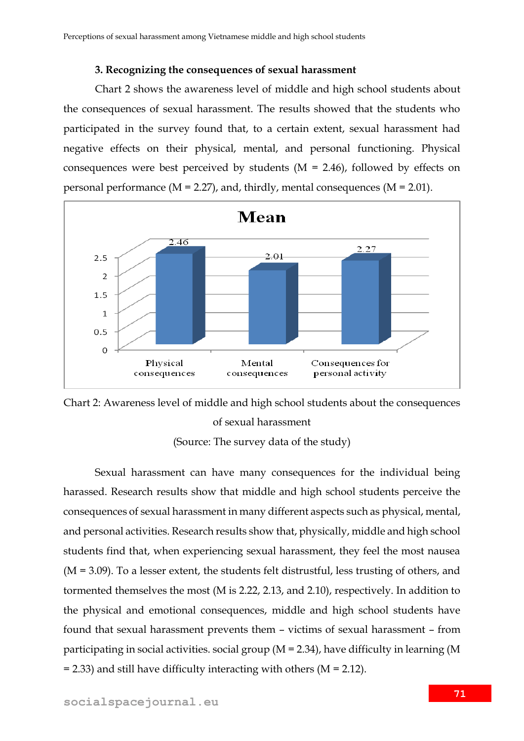#### **3. Recognizing the consequences of sexual harassment**

Chart 2 shows the awareness level of middle and high school students about the consequences of sexual harassment. The results showed that the students who participated in the survey found that, to a certain extent, sexual harassment had negative effects on their physical, mental, and personal functioning. Physical consequences were best perceived by students  $(M = 2.46)$ , followed by effects on personal performance ( $M = 2.27$ ), and, thirdly, mental consequences ( $M = 2.01$ ).





(Source: The survey data of the study)

Sexual harassment can have many consequences for the individual being harassed. Research results show that middle and high school students perceive the consequences of sexual harassment in many different aspects such as physical, mental, and personal activities. Research results show that, physically, middle and high school students find that, when experiencing sexual harassment, they feel the most nausea  $(M = 3.09)$ . To a lesser extent, the students felt distrustful, less trusting of others, and tormented themselves the most (M is 2.22, 2.13, and 2.10), respectively. In addition to the physical and emotional consequences, middle and high school students have found that sexual harassment prevents them – victims of sexual harassment – from participating in social activities. social group (M = 2.34), have difficulty in learning (M  $= 2.33$ ) and still have difficulty interacting with others (M  $= 2.12$ ).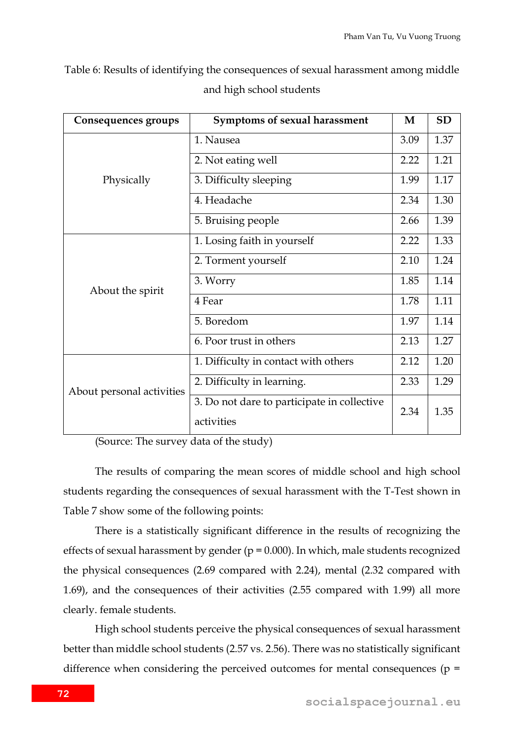| Consequences groups       | Symptoms of sexual harassment                             | M    | <b>SD</b> |
|---------------------------|-----------------------------------------------------------|------|-----------|
|                           | 1. Nausea                                                 | 3.09 | 1.37      |
|                           | 2. Not eating well                                        | 2.22 | 1.21      |
| Physically                | 3. Difficulty sleeping                                    | 1.99 | 1.17      |
|                           | 4. Headache                                               | 2.34 | 1.30      |
|                           | 5. Bruising people                                        | 2.66 | 1.39      |
|                           | 1. Losing faith in yourself                               | 2.22 | 1.33      |
|                           | 2. Torment yourself                                       | 2.10 | 1.24      |
| About the spirit          | 3. Worry                                                  | 1.85 | 1.14      |
|                           | 4 Fear                                                    | 1.78 | 1.11      |
|                           | 5. Boredom                                                | 1.97 | 1.14      |
|                           | 6. Poor trust in others                                   | 2.13 | 1.27      |
|                           | 1. Difficulty in contact with others                      | 2.12 | 1.20      |
| About personal activities | 2. Difficulty in learning.                                | 2.33 | 1.29      |
|                           | 3. Do not dare to participate in collective<br>activities | 2.34 | 1.35      |

Table 6: Results of identifying the consequences of sexual harassment among middle and high school students

(Source: The survey data of the study)

The results of comparing the mean scores of middle school and high school students regarding the consequences of sexual harassment with the T-Test shown in Table 7 show some of the following points:

There is a statistically significant difference in the results of recognizing the effects of sexual harassment by gender ( $p = 0.000$ ). In which, male students recognized the physical consequences (2.69 compared with 2.24), mental (2.32 compared with 1.69), and the consequences of their activities (2.55 compared with 1.99) all more clearly. female students.

High school students perceive the physical consequences of sexual harassment better than middle school students (2.57 vs. 2.56). There was no statistically significant difference when considering the perceived outcomes for mental consequences ( $p =$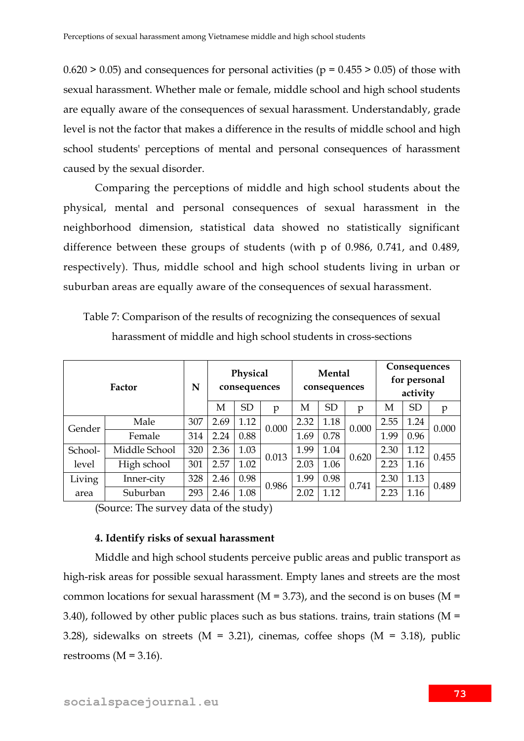$0.620 > 0.05$ ) and consequences for personal activities ( $p = 0.455 > 0.05$ ) of those with sexual harassment. Whether male or female, middle school and high school students are equally aware of the consequences of sexual harassment. Understandably, grade level is not the factor that makes a difference in the results of middle school and high school students' perceptions of mental and personal consequences of harassment caused by the sexual disorder.

Comparing the perceptions of middle and high school students about the physical, mental and personal consequences of sexual harassment in the neighborhood dimension, statistical data showed no statistically significant difference between these groups of students (with p of 0.986, 0.741, and 0.489, respectively). Thus, middle school and high school students living in urban or suburban areas are equally aware of the consequences of sexual harassment.

| Factor  |               | N   | Physical<br>consequences |           |       | Mental<br>consequences |           |       | Consequences<br>for personal<br>activity |           |       |
|---------|---------------|-----|--------------------------|-----------|-------|------------------------|-----------|-------|------------------------------------------|-----------|-------|
|         |               |     | М                        | <b>SD</b> | p     | М                      | <b>SD</b> | p     | М                                        | <b>SD</b> | p     |
| Gender  | Male          | 307 | 2.69                     | 1.12      | 0.000 | 2.32                   | 1.18      | 0.000 | 2.55                                     | 1.24      | 0.000 |
|         | Female        | 314 | 2.24                     | 0.88      |       | 1.69                   | 0.78      |       | 1.99                                     | 0.96      |       |
| School- | Middle School | 320 | 2.36                     | 1.03      | 0.013 | 1.99                   | 1.04      | 0.620 | 2.30                                     | 1.12      | 0.455 |
| level   | High school   | 301 | 2.57                     | 1.02      |       | 2.03                   | 1.06      |       | 2.23                                     | 1.16      |       |
| Living  | Inner-city    | 328 | 2.46                     | 0.98      | 0.986 | 1.99                   | 0.98      | 0.741 | 2.30                                     | 1.13      | 0.489 |
| area    | Suburban      | 293 | 2.46                     | 1.08      |       | 2.02                   | 1.12      |       | 2.23                                     | 1.16      |       |

Table 7: Comparison of the results of recognizing the consequences of sexual harassment of middle and high school students in cross-sections

(Source: The survey data of the study)

#### **4. Identify risks of sexual harassment**

Middle and high school students perceive public areas and public transport as high-risk areas for possible sexual harassment. Empty lanes and streets are the most common locations for sexual harassment ( $M = 3.73$ ), and the second is on buses ( $M =$ 3.40), followed by other public places such as bus stations. trains, train stations ( $M =$ 3.28), sidewalks on streets ( $M = 3.21$ ), cinemas, coffee shops ( $M = 3.18$ ), public restrooms  $(M = 3.16)$ .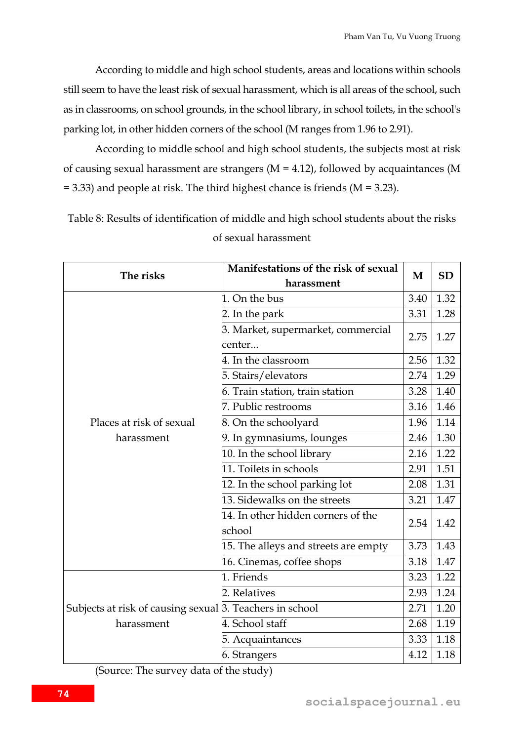According to middle and high school students, areas and locations within schools still seem to have the least risk of sexual harassment, which is all areas of the school, such as in classrooms, on school grounds, in the school library, in school toilets, in the school's parking lot, in other hidden corners of the school (M ranges from 1.96 to 2.91).

According to middle school and high school students, the subjects most at risk of causing sexual harassment are strangers (M = 4.12), followed by acquaintances (M  $= 3.33$ ) and people at risk. The third highest chance is friends (M  $= 3.23$ ).

Table 8: Results of identification of middle and high school students about the risks of sexual harassment

|                                                                                                                                      | Manifestations of the risk of sexual | M    | <b>SD</b> |
|--------------------------------------------------------------------------------------------------------------------------------------|--------------------------------------|------|-----------|
|                                                                                                                                      | harassment                           |      |           |
|                                                                                                                                      | 1. On the bus                        | 3.40 | 1.32      |
| The risks<br>Places at risk of sexual<br>harassment<br>Subjects at risk of causing sexual $\beta$ . Teachers in school<br>harassment | 2. In the park                       | 3.31 | 1.28      |
|                                                                                                                                      | 3. Market, supermarket, commercial   |      |           |
|                                                                                                                                      | center                               | 2.75 | 1.27      |
|                                                                                                                                      | 4. In the classroom                  | 2.56 | 1.32      |
|                                                                                                                                      | 5. Stairs/elevators                  | 2.74 | 1.29      |
|                                                                                                                                      | 6. Train station, train station      | 3.28 | 1.40      |
|                                                                                                                                      | 7. Public restrooms                  | 3.16 | 1.46      |
|                                                                                                                                      | 8. On the schoolyard                 | 1.96 | 1.14      |
|                                                                                                                                      | 9. In gymnasiums, lounges            | 2.46 | 1.30      |
|                                                                                                                                      | 10. In the school library            | 2.16 | 1.22      |
|                                                                                                                                      | 11. Toilets in schools               | 2.91 | 1.51      |
|                                                                                                                                      | 12. In the school parking lot        | 2.08 | 1.31      |
|                                                                                                                                      | 13. Sidewalks on the streets         | 3.21 | 1.47      |
|                                                                                                                                      | 14. In other hidden corners of the   | 2.54 | 1.42      |
|                                                                                                                                      | school                               |      |           |
|                                                                                                                                      | 15. The alleys and streets are empty | 3.73 | 1.43      |
|                                                                                                                                      | 16. Cinemas, coffee shops            | 3.18 | 1.47      |
|                                                                                                                                      | 1. Friends                           | 3.23 | 1.22      |
|                                                                                                                                      | 2. Relatives                         | 2.93 | 1.24      |
|                                                                                                                                      |                                      | 2.71 | 1.20      |
|                                                                                                                                      | 4. School staff                      | 2.68 | 1.19      |
|                                                                                                                                      | 5. Acquaintances                     | 3.33 | 1.18      |
|                                                                                                                                      | 6. Strangers                         | 4.12 | 1.18      |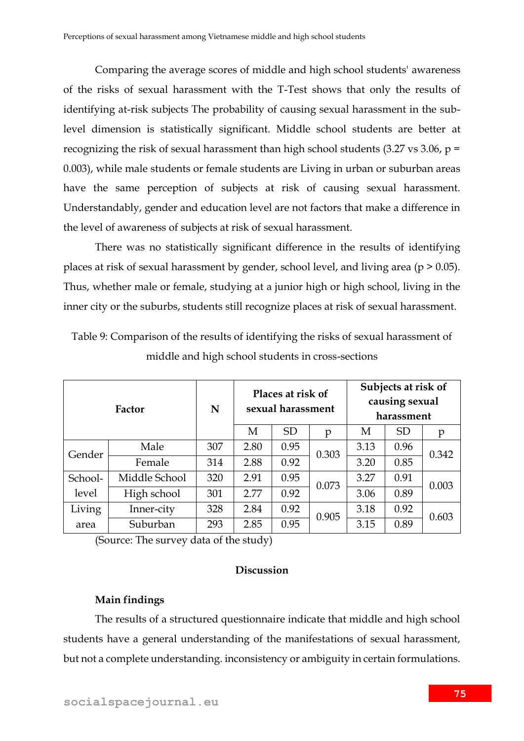Comparing the average scores of middle and high school students' awareness of the risks of sexual harassment with the T-Test shows that only the results of identifying at-risk subjects The probability of causing sexual harassment in the sublevel dimension is statistically significant. Middle school students are better at recognizing the risk of sexual harassment than high school students (3.27 vs 3.06,  $p =$ 0.003), while male students or female students are Living in urban or suburban areas have the same perception of subjects at risk of causing sexual harassment. Understandably, gender and education level are not factors that make a difference in the level of awareness of subjects at risk of sexual harassment.

There was no statistically significant difference in the results of identifying places at risk of sexual harassment by gender, school level, and living area ( $p > 0.05$ ). Thus, whether male or female, studying at a junior high or high school, living in the inner city or the suburbs, students still recognize places at risk of sexual harassment.

Table 9: Comparison of the results of identifying the risks of sexual harassment of middle and high school students in cross-sections

| Factor  |               | N   |      | Places at risk of<br>sexual harassment |       | Subjects at risk of<br>causing sexual<br>harassment |           |       |  |
|---------|---------------|-----|------|----------------------------------------|-------|-----------------------------------------------------|-----------|-------|--|
|         |               |     | M    | <b>SD</b>                              | p     | M                                                   | <b>SD</b> | p     |  |
| Gender  | Male          | 307 | 2.80 | 0.95                                   | 0.303 | 3.13                                                | 0.96      | 0.342 |  |
|         | Female        | 314 | 2.88 | 0.92                                   |       | 3.20                                                | 0.85      |       |  |
| School- | Middle School | 320 | 2.91 | 0.95                                   | 0.073 | 3.27                                                | 0.91      | 0.003 |  |
| level   | High school   | 301 | 2.77 | 0.92                                   |       | 3.06                                                | 0.89      |       |  |
| Living  | Inner-city    | 328 | 2.84 | 0.92                                   | 0.905 | 3.18                                                | 0.92      | 0.603 |  |
| area    | Suburban      | 293 | 2.85 | 0.95                                   |       | 3.15                                                | 0.89      |       |  |

(Source: The survey data of the study)

#### **Discussion**

#### **Main findings**

The results of a structured questionnaire indicate that middle and high school students have a general understanding of the manifestations of sexual harassment, but not a complete understanding. inconsistency or ambiguity in certain formulations.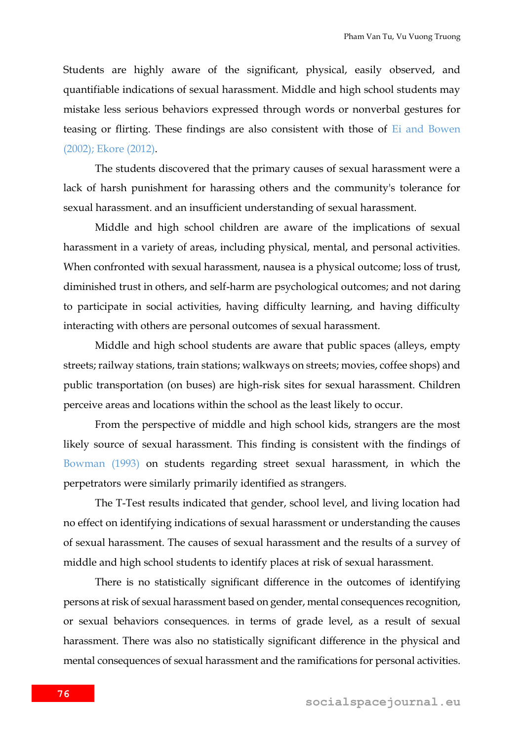Students are highly aware of the significant, physical, easily observed, and quantifiable indications of sexual harassment. Middle and high school students may mistake less serious behaviors expressed through words or nonverbal gestures for teasing or flirting. These findings are also consistent with those of Ei and Bowen (2002); Ekore (2012).

The students discovered that the primary causes of sexual harassment were a lack of harsh punishment for harassing others and the community's tolerance for sexual harassment. and an insufficient understanding of sexual harassment.

Middle and high school children are aware of the implications of sexual harassment in a variety of areas, including physical, mental, and personal activities. When confronted with sexual harassment, nausea is a physical outcome; loss of trust, diminished trust in others, and self-harm are psychological outcomes; and not daring to participate in social activities, having difficulty learning, and having difficulty interacting with others are personal outcomes of sexual harassment.

Middle and high school students are aware that public spaces (alleys, empty streets; railway stations, train stations; walkways on streets; movies, coffee shops) and public transportation (on buses) are high-risk sites for sexual harassment. Children perceive areas and locations within the school as the least likely to occur.

From the perspective of middle and high school kids, strangers are the most likely source of sexual harassment. This finding is consistent with the findings of Bowman (1993) on students regarding street sexual harassment, in which the perpetrators were similarly primarily identified as strangers.

The T-Test results indicated that gender, school level, and living location had no effect on identifying indications of sexual harassment or understanding the causes of sexual harassment. The causes of sexual harassment and the results of a survey of middle and high school students to identify places at risk of sexual harassment.

There is no statistically significant difference in the outcomes of identifying persons at risk of sexual harassment based on gender, mental consequences recognition, or sexual behaviors consequences. in terms of grade level, as a result of sexual harassment. There was also no statistically significant difference in the physical and mental consequences of sexual harassment and the ramifications for personal activities.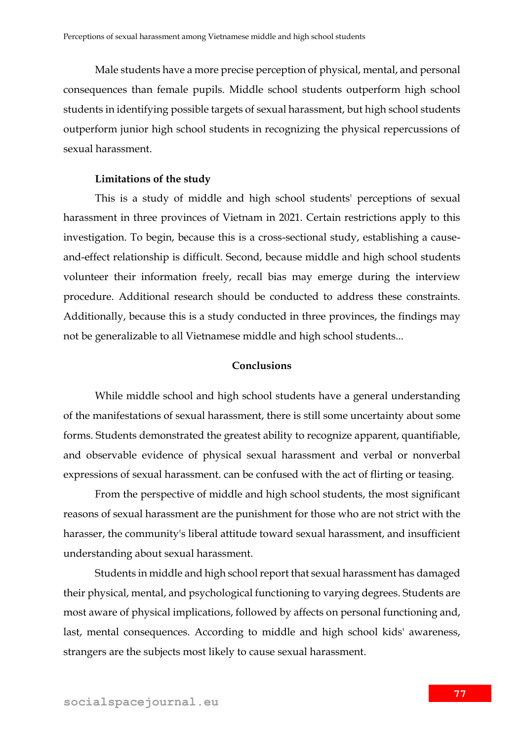Male students have a more precise perception of physical, mental, and personal consequences than female pupils. Middle school students outperform high school students in identifying possible targets of sexual harassment, but high school students outperform junior high school students in recognizing the physical repercussions of sexual harassment.

#### **Limitations of the study**

This is a study of middle and high school students' perceptions of sexual harassment in three provinces of Vietnam in 2021. Certain restrictions apply to this investigation. To begin, because this is a cross-sectional study, establishing a causeand-effect relationship is difficult. Second, because middle and high school students volunteer their information freely, recall bias may emerge during the interview procedure. Additional research should be conducted to address these constraints. Additionally, because this is a study conducted in three provinces, the findings may not be generalizable to all Vietnamese middle and high school students...

#### **Conclusions**

While middle school and high school students have a general understanding of the manifestations of sexual harassment, there is still some uncertainty about some forms. Students demonstrated the greatest ability to recognize apparent, quantifiable, and observable evidence of physical sexual harassment and verbal or nonverbal expressions of sexual harassment. can be confused with the act of flirting or teasing.

From the perspective of middle and high school students, the most significant reasons of sexual harassment are the punishment for those who are not strict with the harasser, the community's liberal attitude toward sexual harassment, and insufficient understanding about sexual harassment.

Students in middle and high school report that sexual harassment has damaged their physical, mental, and psychological functioning to varying degrees. Students are most aware of physical implications, followed by affects on personal functioning and, last, mental consequences. According to middle and high school kids' awareness, strangers are the subjects most likely to cause sexual harassment.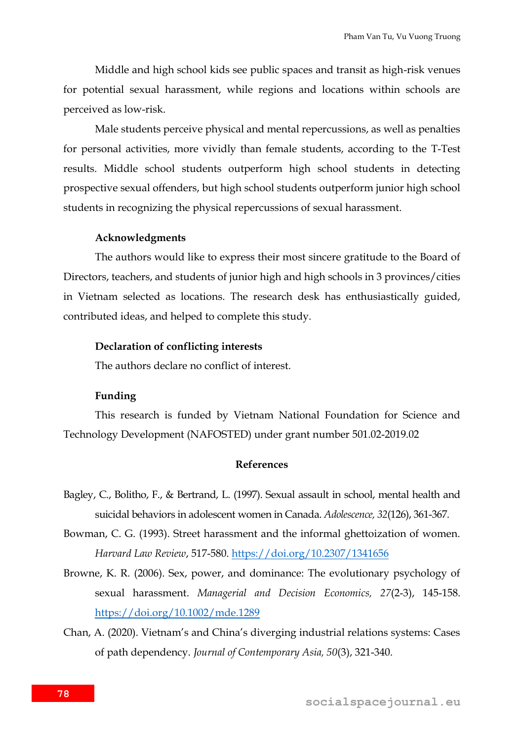Middle and high school kids see public spaces and transit as high-risk venues for potential sexual harassment, while regions and locations within schools are perceived as low-risk.

Male students perceive physical and mental repercussions, as well as penalties for personal activities, more vividly than female students, according to the T-Test results. Middle school students outperform high school students in detecting prospective sexual offenders, but high school students outperform junior high school students in recognizing the physical repercussions of sexual harassment.

#### **Acknowledgments**

The authors would like to express their most sincere gratitude to the Board of Directors, teachers, and students of junior high and high schools in 3 provinces/cities in Vietnam selected as locations. The research desk has enthusiastically guided, contributed ideas, and helped to complete this study.

#### **Declaration of conflicting interests**

The authors declare no conflict of interest.

#### **Funding**

This research is funded by Vietnam National Foundation for Science and Technology Development (NAFOSTED) under grant number 501.02-2019.02

#### **References**

- Bagley, C., Bolitho, F., & Bertrand, L. (1997). Sexual assault in school, mental health and suicidal behaviors in adolescent women in Canada. *Adolescence, 32*(126), 361-367.
- Bowman, C. G. (1993). Street harassment and the informal ghettoization of women. *Harvard Law Review*, 517-580.<https://doi.org/10.2307/1341656>
- Browne, K. R. (2006). Sex, power, and dominance: The evolutionary psychology of sexual harassment. *Managerial and Decision Economics, 27*(2‐3), 145-158. <https://doi.org/10.1002/mde.1289>
- Chan, A. (2020). Vietnam's and China's diverging industrial relations systems: Cases of path dependency. *Journal of Contemporary Asia, 50*(3), 321-340.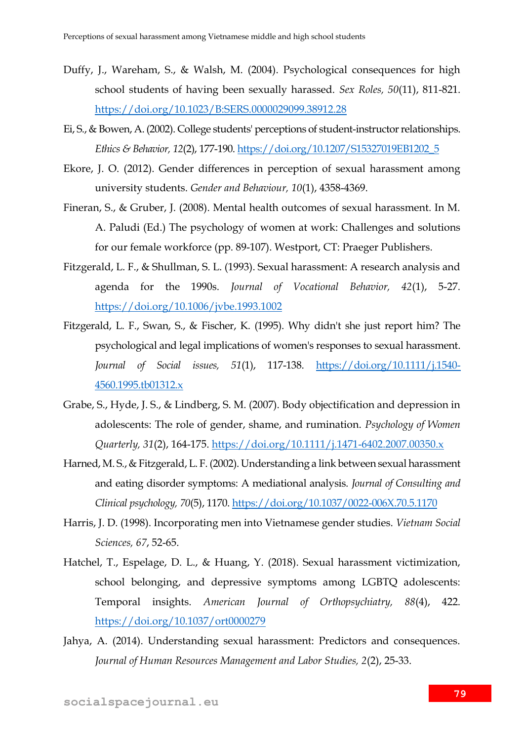- Duffy, J., Wareham, S., & Walsh, M. (2004). Psychological consequences for high school students of having been sexually harassed. *Sex Roles, 50*(11), 811-821. <https://doi.org/10.1023/B:SERS.0000029099.38912.28>
- Ei, S., & Bowen, A. (2002). College students' perceptions of student-instructor relationships. *Ethics & Behavior, 12*(2), 177-190[. https://doi.org/10.1207/S15327019EB1202\\_5](https://doi.org/10.1207/S15327019EB1202_5)
- Ekore, J. O. (2012). Gender differences in perception of sexual harassment among university students. *Gender and Behaviour, 10*(1), 4358-4369.
- Fineran, S., & Gruber, J. (2008). Mental health outcomes of sexual harassment. In M. A. Paludi (Ed.) The psychology of women at work: Challenges and solutions for our female workforce (pp. 89-107). Westport, CT: Praeger Publishers.
- Fitzgerald, L. F., & Shullman, S. L. (1993). Sexual harassment: A research analysis and agenda for the 1990s. *Journal of Vocational Behavior, 42*(1), 5-27. <https://doi.org/10.1006/jvbe.1993.1002>
- Fitzgerald, L. F., Swan, S., & Fischer, K. (1995). Why didn't she just report him? The psychological and legal implications of women's responses to sexual harassment. *Journal of Social issues, 51*(1), 117-138. [https://doi.org/10.1111/j.1540-](https://doi.org/10.1111/j.1540-4560.1995.tb01312.x) [4560.1995.tb01312.x](https://doi.org/10.1111/j.1540-4560.1995.tb01312.x)
- Grabe, S., Hyde, J. S., & Lindberg, S. M. (2007). Body objectification and depression in adolescents: The role of gender, shame, and rumination. *Psychology of Women Quarterly, 31*(2), 164-175.<https://doi.org/10.1111/j.1471-6402.2007.00350.x>
- Harned, M. S., & Fitzgerald, L. F. (2002). Understanding a link between sexual harassment and eating disorder symptoms: A mediational analysis. *Journal of Consulting and Clinical psychology, 70*(5), 1170.<https://doi.org/10.1037/0022-006X.70.5.1170>
- Harris, J. D. (1998). Incorporating men into Vietnamese gender studies. *Vietnam Social Sciences, 67*, 52-65.
- Hatchel, T., Espelage, D. L., & Huang, Y. (2018). Sexual harassment victimization, school belonging, and depressive symptoms among LGBTQ adolescents: Temporal insights. *American Journal of Orthopsychiatry, 88*(4), 422. <https://doi.org/10.1037/ort0000279>
- Jahya, A. (2014). Understanding sexual harassment: Predictors and consequences. *Journal of Human Resources Management and Labor Studies, 2*(2), 25-33.